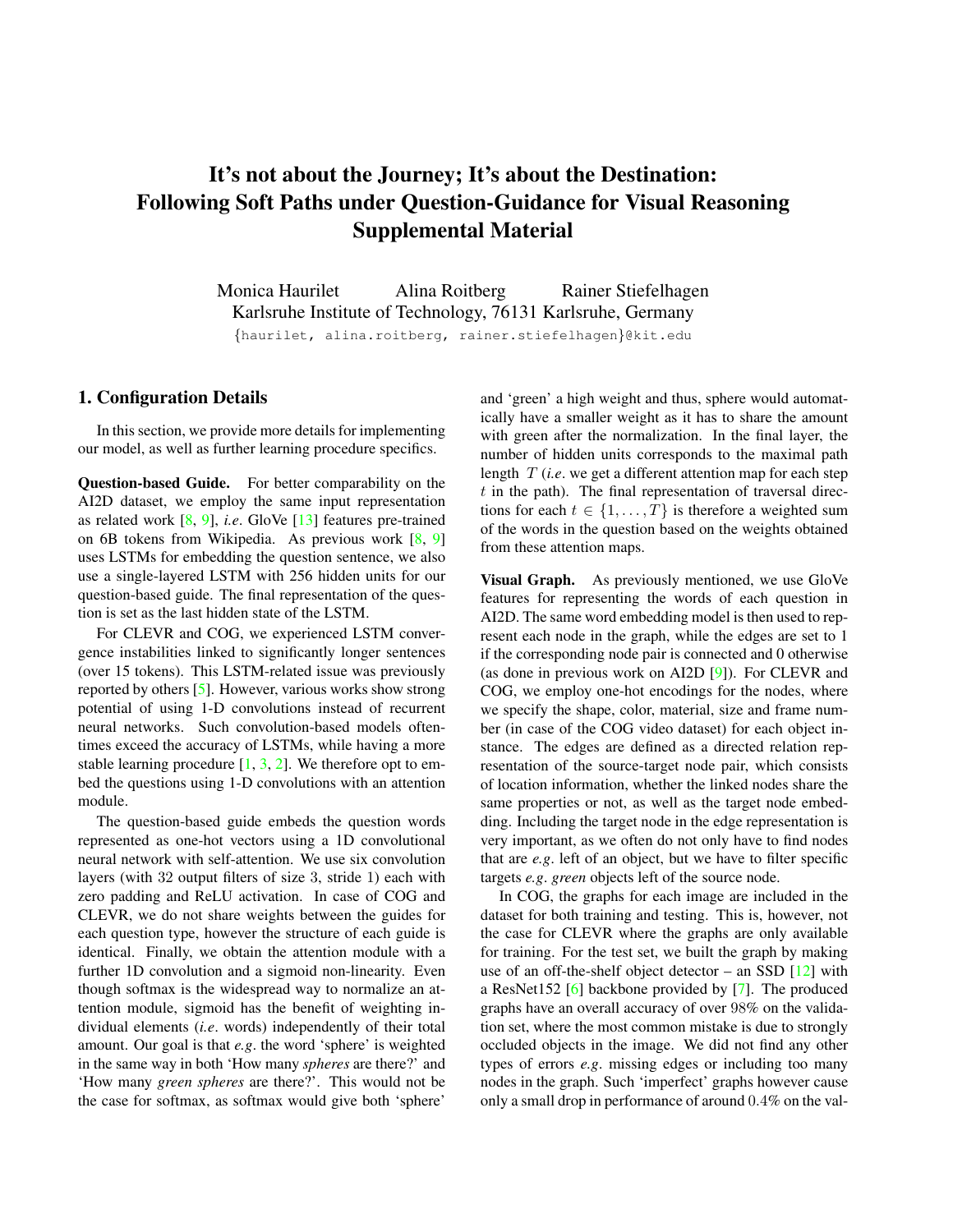# It's not about the Journey; It's about the Destination: Following Soft Paths under Question-Guidance for Visual Reasoning Supplemental Material

Monica Haurilet Alina Roitberg Rainer Stiefelhagen Karlsruhe Institute of Technology, 76131 Karlsruhe, Germany {haurilet, alina.roitberg, rainer.stiefelhagen}@kit.edu

## 1. Configuration Details

In this section, we provide more details for implementing our model, as well as further learning procedure specifics.

Question-based Guide. For better comparability on the AI2D dataset, we employ the same input representation as related work [8, 9], *i.e*. GloVe [13] features pre-trained on 6B tokens from Wikipedia. As previous work [8, 9] uses LSTMs for embedding the question sentence, we also use a single-layered LSTM with 256 hidden units for our question-based guide. The final representation of the question is set as the last hidden state of the LSTM.

For CLEVR and COG, we experienced LSTM convergence instabilities linked to significantly longer sentences (over 15 tokens). This LSTM-related issue was previously reported by others [5]. However, various works show strong potential of using 1-D convolutions instead of recurrent neural networks. Such convolution-based models oftentimes exceed the accuracy of LSTMs, while having a more stable learning procedure  $[1, 3, 2]$ . We therefore opt to embed the questions using 1-D convolutions with an attention module.

The question-based guide embeds the question words represented as one-hot vectors using a 1D convolutional neural network with self-attention. We use six convolution layers (with 32 output filters of size 3, stride 1) each with zero padding and ReLU activation. In case of COG and CLEVR, we do not share weights between the guides for each question type, however the structure of each guide is identical. Finally, we obtain the attention module with a further 1D convolution and a sigmoid non-linearity. Even though softmax is the widespread way to normalize an attention module, sigmoid has the benefit of weighting individual elements (*i.e*. words) independently of their total amount. Our goal is that *e.g*. the word 'sphere' is weighted in the same way in both 'How many *spheres* are there?' and 'How many *green spheres* are there?'. This would not be the case for softmax, as softmax would give both 'sphere'

and 'green' a high weight and thus, sphere would automatically have a smaller weight as it has to share the amount with green after the normalization. In the final layer, the number of hidden units corresponds to the maximal path length T (*i.e*. we get a different attention map for each step  $t$  in the path). The final representation of traversal directions for each  $t \in \{1, \ldots, T\}$  is therefore a weighted sum of the words in the question based on the weights obtained from these attention maps.

Visual Graph. As previously mentioned, we use GloVe features for representing the words of each question in AI2D. The same word embedding model is then used to represent each node in the graph, while the edges are set to 1 if the corresponding node pair is connected and 0 otherwise (as done in previous work on AI2D [9]). For CLEVR and COG, we employ one-hot encodings for the nodes, where we specify the shape, color, material, size and frame number (in case of the COG video dataset) for each object instance. The edges are defined as a directed relation representation of the source-target node pair, which consists of location information, whether the linked nodes share the same properties or not, as well as the target node embedding. Including the target node in the edge representation is very important, as we often do not only have to find nodes that are *e.g*. left of an object, but we have to filter specific targets *e.g*. *green* objects left of the source node.

In COG, the graphs for each image are included in the dataset for both training and testing. This is, however, not the case for CLEVR where the graphs are only available for training. For the test set, we built the graph by making use of an off-the-shelf object detector – an SSD  $[12]$  with a ResNet152 [6] backbone provided by [7]. The produced graphs have an overall accuracy of over 98% on the validation set, where the most common mistake is due to strongly occluded objects in the image. We did not find any other types of errors *e.g*. missing edges or including too many nodes in the graph. Such 'imperfect' graphs however cause only a small drop in performance of around 0.4% on the val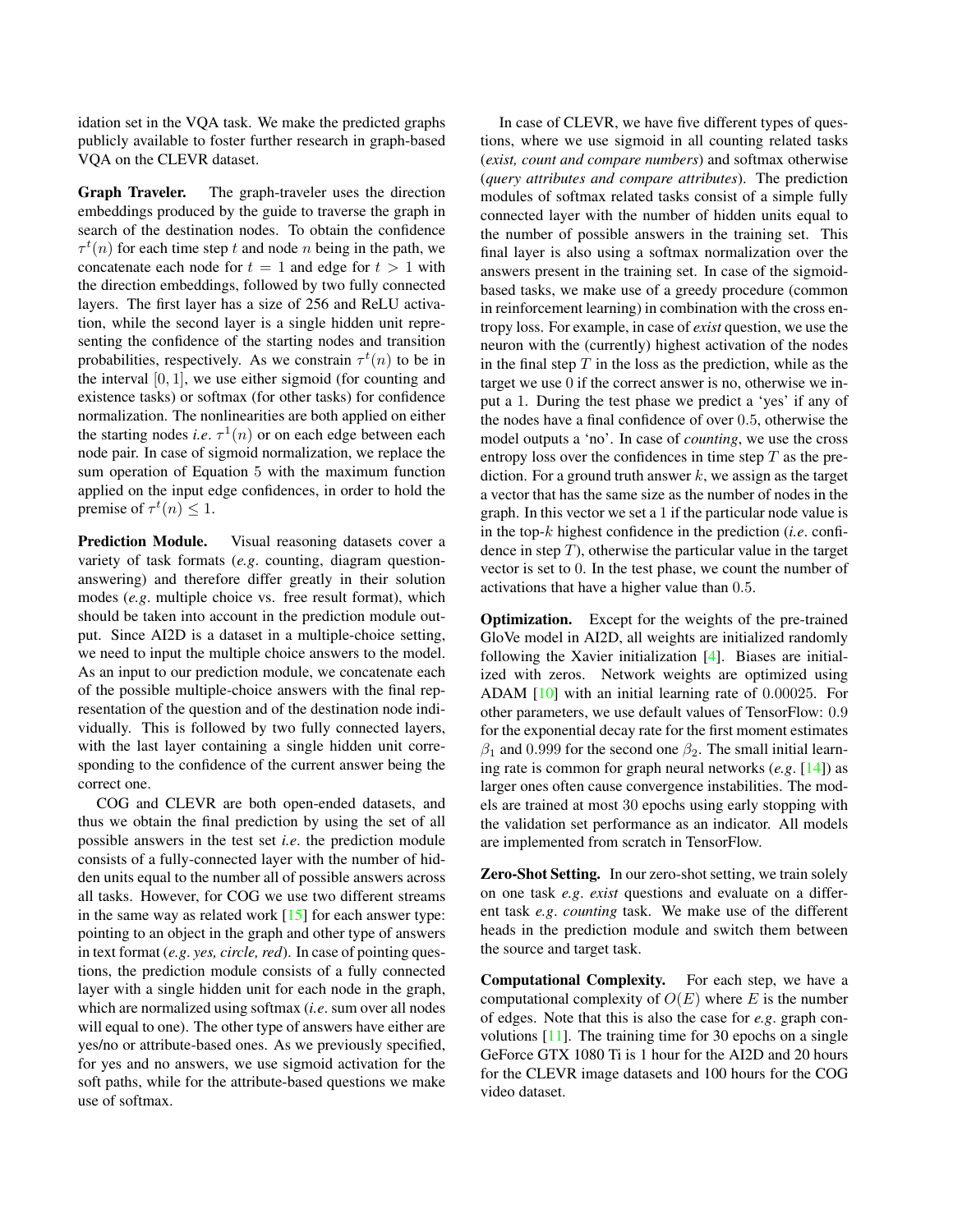idation set in the VQA task. We make the predicted graphs publicly available to foster further research in graph-based VQA on the CLEVR dataset.

Graph Traveler. The graph-traveler uses the direction embeddings produced by the guide to traverse the graph in search of the destination nodes. To obtain the confidence  $\tau^t(n)$  for each time step t and node n being in the path, we concatenate each node for  $t = 1$  and edge for  $t > 1$  with the direction embeddings, followed by two fully connected layers. The first layer has a size of 256 and ReLU activation, while the second layer is a single hidden unit representing the confidence of the starting nodes and transition probabilities, respectively. As we constrain  $\tau^t(n)$  to be in the interval  $[0, 1]$ , we use either sigmoid (for counting and existence tasks) or softmax (for other tasks) for confidence normalization. The nonlinearities are both applied on either the starting nodes *i.e.*  $\tau^1(n)$  or on each edge between each node pair. In case of sigmoid normalization, we replace the sum operation of Equation 5 with the maximum function applied on the input edge confidences, in order to hold the premise of  $\tau^t(n) \leq 1$ .

Prediction Module. Visual reasoning datasets cover a variety of task formats (*e.g*. counting, diagram questionanswering) and therefore differ greatly in their solution modes (*e.g*. multiple choice vs. free result format), which should be taken into account in the prediction module output. Since AI2D is a dataset in a multiple-choice setting, we need to input the multiple choice answers to the model. As an input to our prediction module, we concatenate each of the possible multiple-choice answers with the final representation of the question and of the destination node individually. This is followed by two fully connected layers, with the last layer containing a single hidden unit corresponding to the confidence of the current answer being the correct one.

COG and CLEVR are both open-ended datasets, and thus we obtain the final prediction by using the set of all possible answers in the test set *i.e*. the prediction module consists of a fully-connected layer with the number of hidden units equal to the number all of possible answers across all tasks. However, for COG we use two different streams in the same way as related work  $[15]$  for each answer type: pointing to an object in the graph and other type of answers in text format (*e.g*. *yes, circle, red*). In case of pointing questions, the prediction module consists of a fully connected layer with a single hidden unit for each node in the graph, which are normalized using softmax (*i.e*. sum over all nodes will equal to one). The other type of answers have either are yes/no or attribute-based ones. As we previously specified, for yes and no answers, we use sigmoid activation for the soft paths, while for the attribute-based questions we make use of softmax.

In case of CLEVR, we have five different types of questions, where we use sigmoid in all counting related tasks (*exist, count and compare numbers*) and softmax otherwise (*query attributes and compare attributes*). The prediction modules of softmax related tasks consist of a simple fully connected layer with the number of hidden units equal to the number of possible answers in the training set. This final layer is also using a softmax normalization over the answers present in the training set. In case of the sigmoidbased tasks, we make use of a greedy procedure (common in reinforcement learning) in combination with the cross entropy loss. For example, in case of *exist* question, we use the neuron with the (currently) highest activation of the nodes in the final step  $T$  in the loss as the prediction, while as the target we use 0 if the correct answer is no, otherwise we input a 1. During the test phase we predict a 'yes' if any of the nodes have a final confidence of over 0.5, otherwise the model outputs a 'no'. In case of *counting*, we use the cross entropy loss over the confidences in time step  $T$  as the prediction. For a ground truth answer  $k$ , we assign as the target a vector that has the same size as the number of nodes in the graph. In this vector we set a 1 if the particular node value is in the top-k highest confidence in the prediction (*i.e*. confidence in step  $T$ ), otherwise the particular value in the target vector is set to 0. In the test phase, we count the number of activations that have a higher value than 0.5.

Optimization. Except for the weights of the pre-trained GloVe model in AI2D, all weights are initialized randomly following the Xavier initialization [4]. Biases are initialized with zeros. Network weights are optimized using ADAM [10] with an initial learning rate of 0.00025. For other parameters, we use default values of TensorFlow: 0.9 for the exponential decay rate for the first moment estimates  $\beta_1$  and 0.999 for the second one  $\beta_2$ . The small initial learning rate is common for graph neural networks (*e.g*. [14]) as larger ones often cause convergence instabilities. The models are trained at most 30 epochs using early stopping with the validation set performance as an indicator. All models are implemented from scratch in TensorFlow.

Zero-Shot Setting. In our zero-shot setting, we train solely on one task *e.g*. *exist* questions and evaluate on a different task *e.g*. *counting* task. We make use of the different heads in the prediction module and switch them between the source and target task.

Computational Complexity. For each step, we have a computational complexity of  $O(E)$  where E is the number of edges. Note that this is also the case for *e.g*. graph convolutions [11]. The training time for 30 epochs on a single GeForce GTX 1080 Ti is 1 hour for the AI2D and 20 hours for the CLEVR image datasets and 100 hours for the COG video dataset.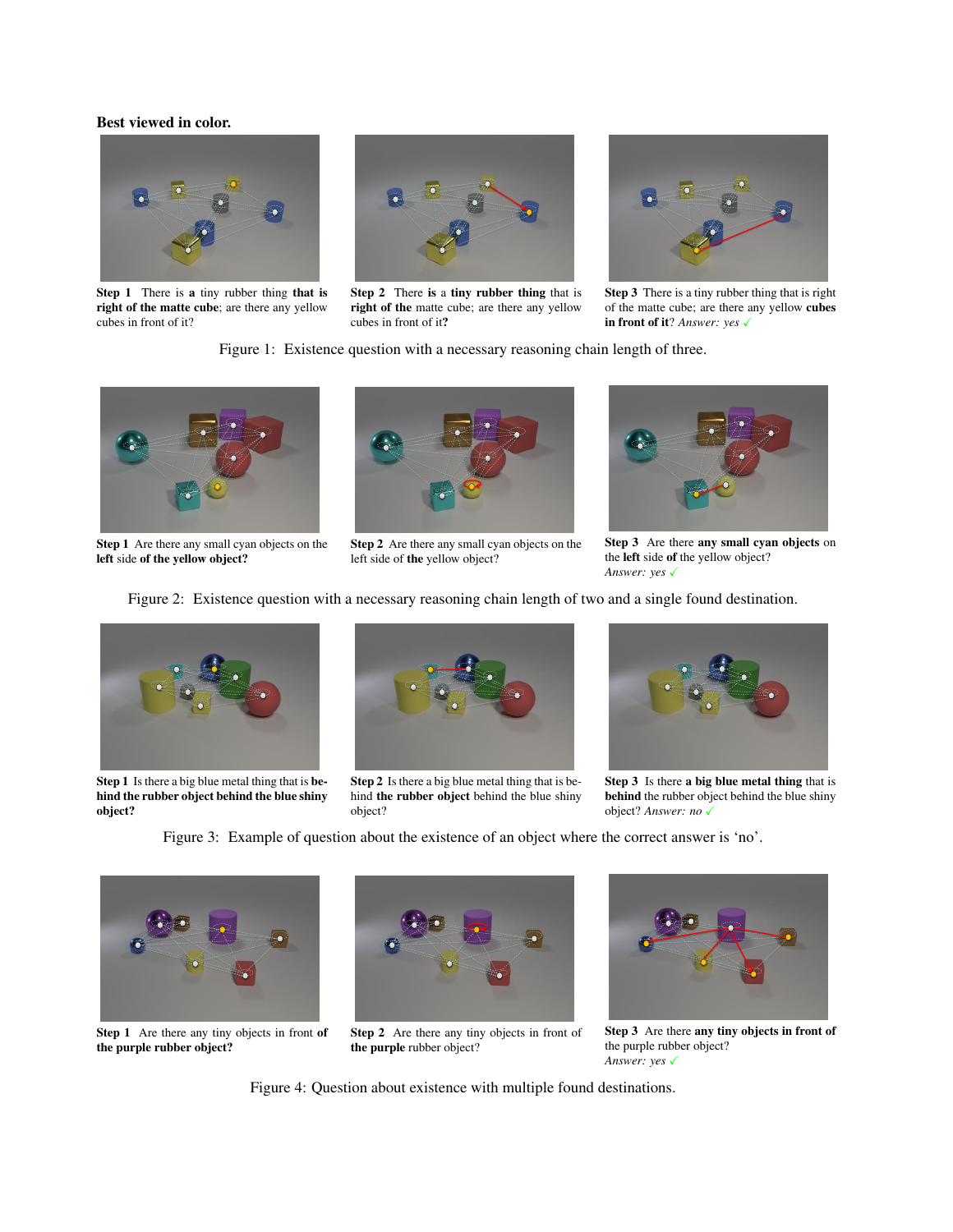#### Best viewed in color.



Step 1 There is a tiny rubber thing that is right of the matte cube; are there any yellow cubes in front of it?



Step 2 There is a tiny rubber thing that is right of the matte cube; are there any yellow cubes in front of it?



Step 3 There is a tiny rubber thing that is right of the matte cube; are there any yellow cubes in front of it? *Answer: yes* 

Figure 1: Existence question with a necessary reasoning chain length of three.



Step 1 Are there any small cyan objects on the left side of the yellow object?



Step 2 Are there any small cyan objects on the left side of the yellow object?



Step 3 Are there any small cyan objects on the left side of the yellow object? *Answer: yes* √

Figure 2: Existence question with a necessary reasoning chain length of two and a single found destination.



Step 1 Is there a big blue metal thing that is behind the rubber object behind the blue shiny object?



Step 2 Is there a big blue metal thing that is behind the rubber object behind the blue shiny object?



Step 3 Is there a big blue metal thing that is behind the rubber object behind the blue shiny object? *Answer: no* X

Figure 3: Example of question about the existence of an object where the correct answer is 'no'.



Step 1 Are there any tiny objects in front of the purple rubber object?



Step 2 Are there any tiny objects in front of the purple rubber object?



Step 3 Are there any tiny objects in front of the purple rubber object? Answer: yes  $\checkmark$ 

Figure 4: Question about existence with multiple found destinations.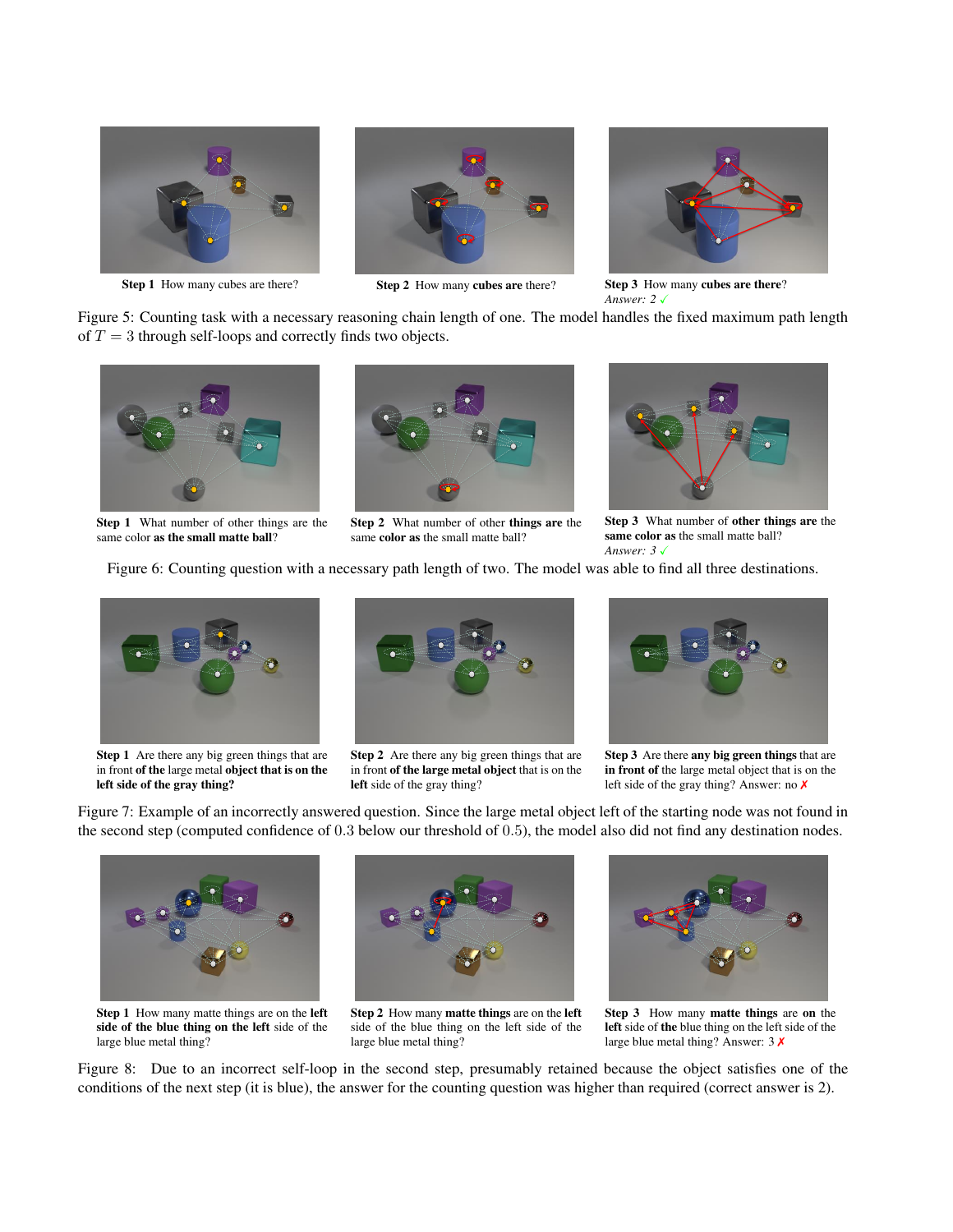





Step 1 How many cubes are there? Step 2 How many cubes are there? Step 3 How many cubes are there? Answer:  $2\sqrt{ }$ 

Figure 5: Counting task with a necessary reasoning chain length of one. The model handles the fixed maximum path length of  $T = 3$  through self-loops and correctly finds two objects.



Step 1 What number of other things are the same color as the small matte ball?



Step 2 What number of other things are the same color as the small matte ball?



Step 3 What number of other things are the same color as the small matte ball? Answer:  $3\sqrt{ }$ 

Figure 6: Counting question with a necessary path length of two. The model was able to find all three destinations.



Step 1 Are there any big green things that are in front of the large metal object that is on the left side of the gray thing?



Step 2 Are there any big green things that are in front of the large metal object that is on the left side of the gray thing?



Step 3 Are there any big green things that are in front of the large metal object that is on the left side of the gray thing? Answer: no  $\chi$ 

Figure 7: Example of an incorrectly answered question. Since the large metal object left of the starting node was not found in the second step (computed confidence of 0.3 below our threshold of 0.5), the model also did not find any destination nodes.



Step 1 How many matte things are on the left side of the blue thing on the left side of the large blue metal thing?



Step 2 How many matte things are on the left side of the blue thing on the left side of the large blue metal thing?



Step 3 How many matte things are on the left side of the blue thing on the left side of the large blue metal thing? Answer: 3 ✗

Figure 8: Due to an incorrect self-loop in the second step, presumably retained because the object satisfies one of the conditions of the next step (it is blue), the answer for the counting question was higher than required (correct answer is 2).